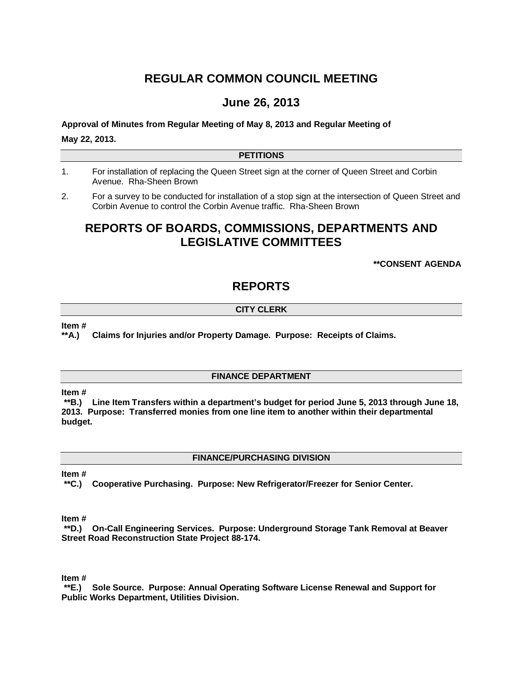# **REGULAR COMMON COUNCIL MEETING**

## **June 26, 2013**

**Approval of Minutes from Regular Meeting of May 8, 2013 and Regular Meeting of May 22, 2013.**

### **PETITIONS**

- 1. For installation of replacing the Queen Street sign at the corner of Queen Street and Corbin Avenue. Rha-Sheen Brown
- 2. For a survey to be conducted for installation of a stop sign at the intersection of Queen Street and Corbin Avenue to control the Corbin Avenue traffic. Rha-Sheen Brown

## **REPORTS OF BOARDS, COMMISSIONS, DEPARTMENTS AND LEGISLATIVE COMMITTEES**

### **\*\*CONSENT AGENDA**

## **REPORTS**

## **CITY CLERK**

**Item #**

**\*\*A.) Claims for Injuries and/or Property Damage. Purpose: Receipts of Claims.** 

### **FINANCE DEPARTMENT**

**Item #**

**\*\*B.) Line Item Transfers within a department's budget for period June 5, 2013 through June 18, 2013. Purpose: Transferred monies from one line item to another within their departmental budget.**

**FINANCE/PURCHASING DIVISION**

**Item #**

**\*\*C.) Cooperative Purchasing. Purpose: New Refrigerator/Freezer for Senior Center.**

**Item #**

**\*\*D.) On-Call Engineering Services. Purpose: Underground Storage Tank Removal at Beaver Street Road Reconstruction State Project 88-174.**

**Item #**

**\*\*E.) Sole Source. Purpose: Annual Operating Software License Renewal and Support for Public Works Department, Utilities Division.**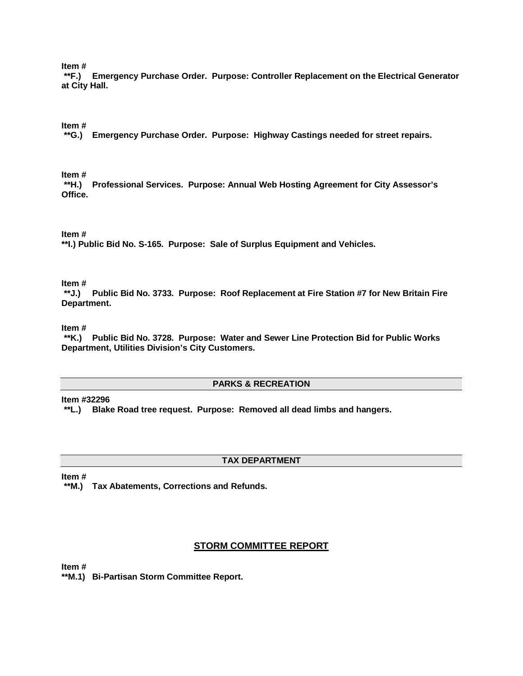**Item #**

**\*\*F.) Emergency Purchase Order. Purpose: Controller Replacement on the Electrical Generator at City Hall.**

**Item #**

**\*\*G.) Emergency Purchase Order. Purpose: Highway Castings needed for street repairs.**

**Item #**

**\*\*H.) Professional Services. Purpose: Annual Web Hosting Agreement for City Assessor's Office.**

**Item #** 

**\*\*I.) Public Bid No. S-165. Purpose: Sale of Surplus Equipment and Vehicles.**

**Item #**

**\*\*J.) Public Bid No. 3733. Purpose: Roof Replacement at Fire Station #7 for New Britain Fire Department.**

**Item #**

**\*\*K.) Public Bid No. 3728. Purpose: Water and Sewer Line Protection Bid for Public Works Department, Utilities Division's City Customers.**

#### **PARKS & RECREATION**

**Item #32296**

**\*\*L.) Blake Road tree request. Purpose: Removed all dead limbs and hangers.**

### **TAX DEPARTMENT**

**Item #**

**\*\*M.) Tax Abatements, Corrections and Refunds.** 

## **STORM COMMITTEE REPORT**

**Item #**

**\*\*M.1) Bi-Partisan Storm Committee Report.**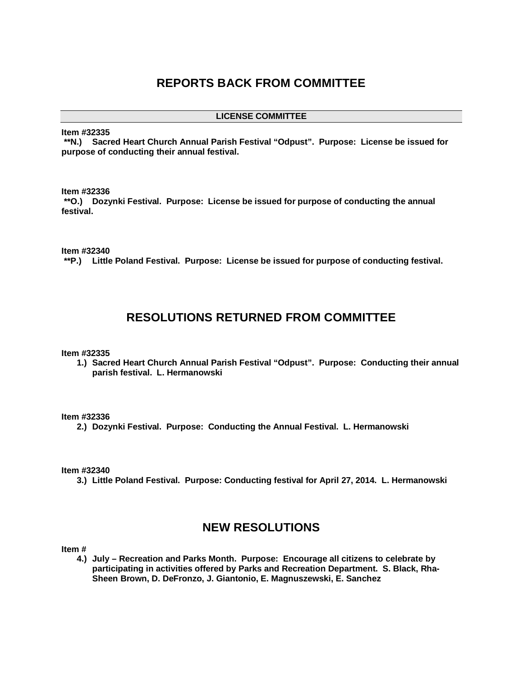## **REPORTS BACK FROM COMMITTEE**

**LICENSE COMMITTEE**

**Item #32335**

**\*\*N.) Sacred Heart Church Annual Parish Festival "Odpust". Purpose: License be issued for purpose of conducting their annual festival.** 

#### **Item #32336**

**\*\*O.) Dozynki Festival. Purpose: License be issued for purpose of conducting the annual festival.**

**Item #32340**

**\*\*P.) Little Poland Festival. Purpose: License be issued for purpose of conducting festival.** 

## **RESOLUTIONS RETURNED FROM COMMITTEE**

#### **Item #32335**

**1.) Sacred Heart Church Annual Parish Festival "Odpust". Purpose: Conducting their annual parish festival. L. Hermanowski** 

#### **Item #32336**

**2.) Dozynki Festival. Purpose: Conducting the Annual Festival. L. Hermanowski**

#### **Item #32340**

**3.) Little Poland Festival. Purpose: Conducting festival for April 27, 2014. L. Hermanowski** 

## **NEW RESOLUTIONS**

**Item #**

**4.) July – Recreation and Parks Month. Purpose: Encourage all citizens to celebrate by participating in activities offered by Parks and Recreation Department. S. Black, Rha-Sheen Brown, D. DeFronzo, J. Giantonio, E. Magnuszewski, E. Sanchez**